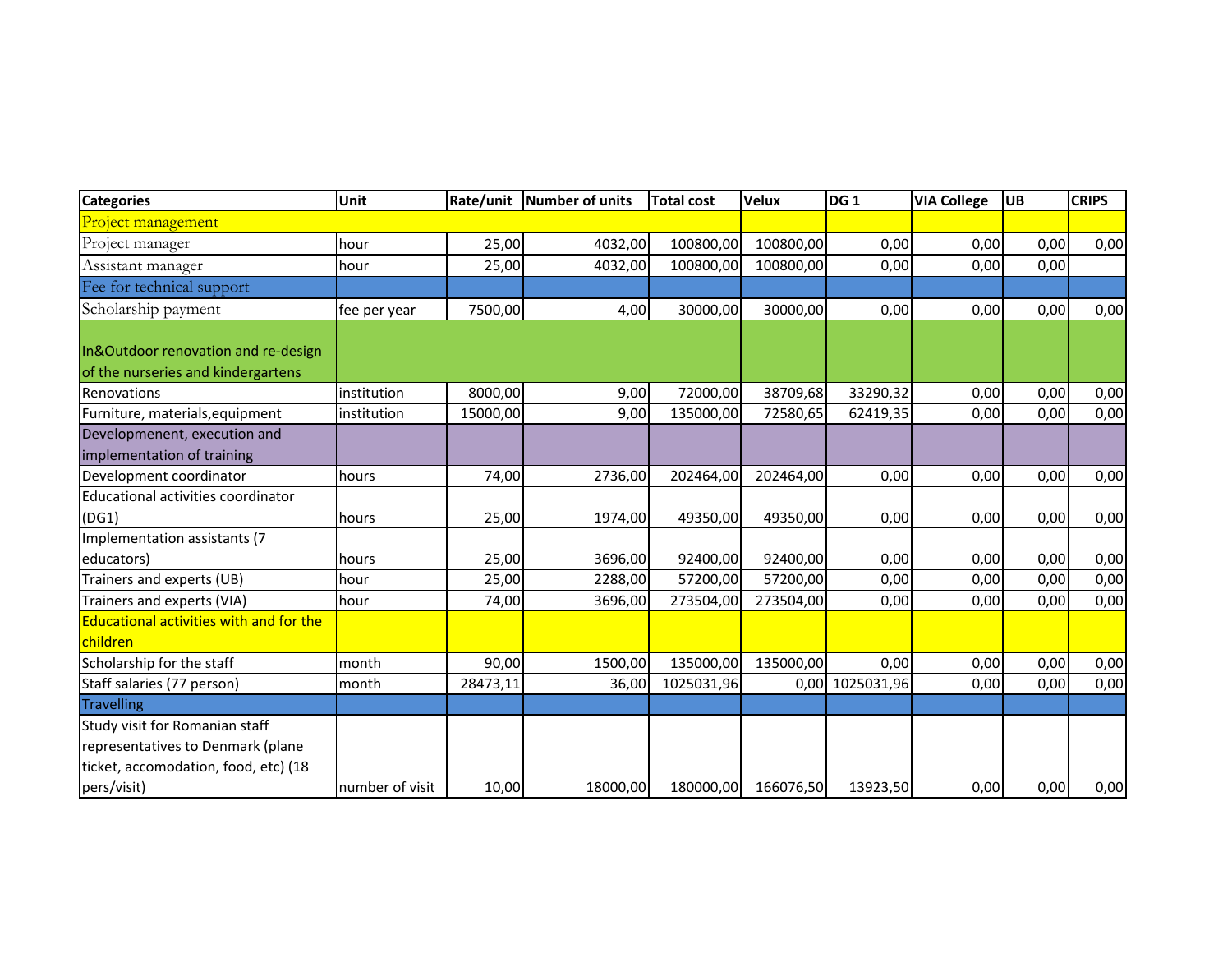| hour         | 25,00                                   |         |                                                                                                                                                                            |                       |                                                                                                                                                                             |                                                   |                                                                                 |                                                                                                                                      |
|--------------|-----------------------------------------|---------|----------------------------------------------------------------------------------------------------------------------------------------------------------------------------|-----------------------|-----------------------------------------------------------------------------------------------------------------------------------------------------------------------------|---------------------------------------------------|---------------------------------------------------------------------------------|--------------------------------------------------------------------------------------------------------------------------------------|
|              |                                         |         |                                                                                                                                                                            |                       |                                                                                                                                                                             |                                                   |                                                                                 |                                                                                                                                      |
|              |                                         | 4032,00 | 100800,00                                                                                                                                                                  | 100800,00             | 0,00                                                                                                                                                                        | 0,00                                              | 0,00                                                                            | 0,00                                                                                                                                 |
|              |                                         | 4032,00 | 100800,00                                                                                                                                                                  | 100800,00             |                                                                                                                                                                             |                                                   | 0,00                                                                            |                                                                                                                                      |
|              |                                         |         |                                                                                                                                                                            |                       |                                                                                                                                                                             |                                                   |                                                                                 |                                                                                                                                      |
| fee per year |                                         |         |                                                                                                                                                                            | 30000,00              |                                                                                                                                                                             |                                                   | 0,00                                                                            | 0,00                                                                                                                                 |
|              |                                         |         |                                                                                                                                                                            |                       |                                                                                                                                                                             |                                                   |                                                                                 |                                                                                                                                      |
| institution  |                                         |         |                                                                                                                                                                            |                       |                                                                                                                                                                             |                                                   |                                                                                 | 0,00                                                                                                                                 |
| institution  |                                         |         |                                                                                                                                                                            |                       |                                                                                                                                                                             |                                                   |                                                                                 | 0,00                                                                                                                                 |
|              |                                         |         |                                                                                                                                                                            |                       |                                                                                                                                                                             |                                                   |                                                                                 |                                                                                                                                      |
| hours        |                                         | 2736,00 |                                                                                                                                                                            | 202464,00             | 0,00                                                                                                                                                                        |                                                   | 0,00                                                                            | 0,00                                                                                                                                 |
| hours        |                                         |         |                                                                                                                                                                            | 49350,00              |                                                                                                                                                                             |                                                   | 0,00                                                                            | 0,00                                                                                                                                 |
| hours        |                                         |         |                                                                                                                                                                            |                       |                                                                                                                                                                             |                                                   | 0,00                                                                            | 0,00                                                                                                                                 |
|              |                                         |         |                                                                                                                                                                            |                       |                                                                                                                                                                             |                                                   |                                                                                 | 0,00                                                                                                                                 |
|              |                                         |         |                                                                                                                                                                            |                       |                                                                                                                                                                             |                                                   |                                                                                 | 0,00                                                                                                                                 |
|              |                                         |         |                                                                                                                                                                            |                       |                                                                                                                                                                             |                                                   |                                                                                 |                                                                                                                                      |
| month        |                                         | 1500,00 |                                                                                                                                                                            | 135000,00             |                                                                                                                                                                             |                                                   | 0,00                                                                            | 0,00                                                                                                                                 |
| month        | 28473,11                                | 36,00   |                                                                                                                                                                            |                       |                                                                                                                                                                             |                                                   | 0,00                                                                            | 0,00                                                                                                                                 |
|              |                                         |         |                                                                                                                                                                            |                       |                                                                                                                                                                             |                                                   |                                                                                 |                                                                                                                                      |
|              |                                         |         |                                                                                                                                                                            |                       |                                                                                                                                                                             |                                                   |                                                                                 | 0,00                                                                                                                                 |
|              | hour<br>hour<br>hour<br>number of visit |         | 25,00<br>7500,00<br>4,00<br>8000,00<br>9,00<br>15000,00<br>9,00<br>74,00<br>1974,00<br>25,00<br>25,00<br>3696,00<br>25,00<br>2288,00<br>3696,00<br>74,00<br>90,00<br>10,00 | 273504,00<br>18000,00 | 30000,00<br>72000,00<br>38709,68<br>135000,00<br>72580,65<br>202464,00<br>49350,00<br>92400,00<br>57200,00<br>57200,00<br>273504,00<br>135000,00<br>1025031,96<br>180000,00 | 33290,32<br>92400,00<br>0,00<br>0,00<br>166076,50 | 0,00<br>0,00<br>62419,35<br>0,00<br>0,00<br>0,00<br>0,00 1025031,96<br>13923,50 | 0,00<br>0,00<br>0,00<br>0,00<br>0,00<br>0,00<br>0,00<br>0,00<br>0,00<br>0,00<br>0,00<br>0,00<br>0,00<br>0,00<br>0,00<br>0,00<br>0,00 |